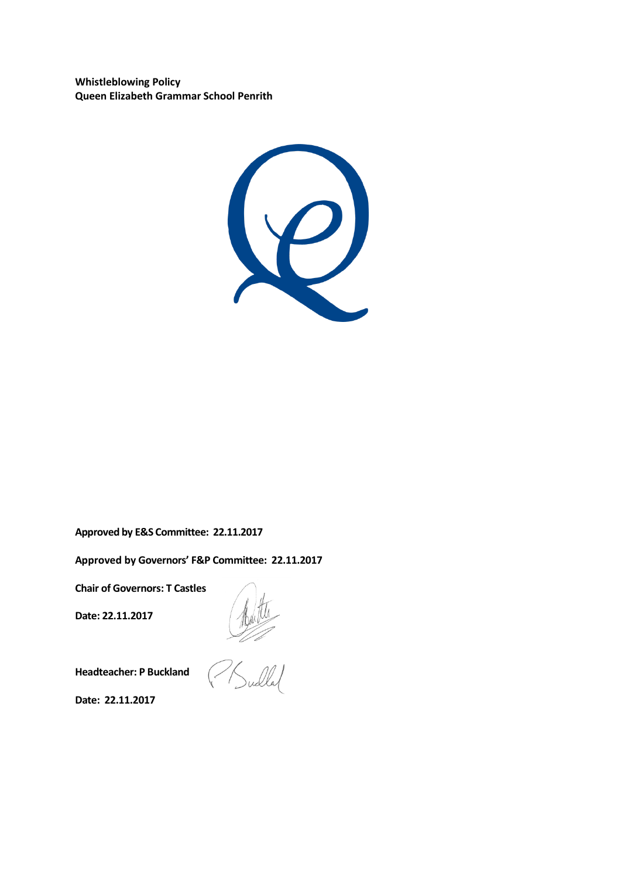**Whistleblowing Policy Queen Elizabeth Grammar School Penrith**



**Approved by E&S Committee: 22.11.2017**

**Approved by Governors' F&P Committee: 22.11.2017**

**Chair of Governors: T Castles**

**Date: 22.11.2017**

**Headteacher: P Buckland**

**Date: 22.11.2017**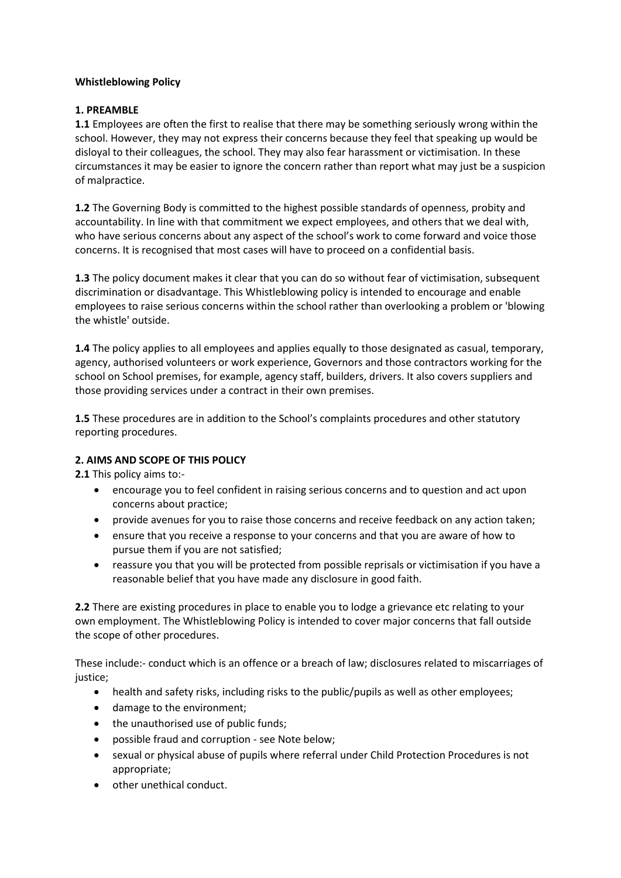## **Whistleblowing Policy**

# **1. PREAMBLE**

**1.1** Employees are often the first to realise that there may be something seriously wrong within the school. However, they may not express their concerns because they feel that speaking up would be disloyal to their colleagues, the school. They may also fear harassment or victimisation. In these circumstances it may be easier to ignore the concern rather than report what may just be a suspicion of malpractice.

**1.2** The Governing Body is committed to the highest possible standards of openness, probity and accountability. In line with that commitment we expect employees, and others that we deal with, who have serious concerns about any aspect of the school's work to come forward and voice those concerns. It is recognised that most cases will have to proceed on a confidential basis.

**1.3** The policy document makes it clear that you can do so without fear of victimisation, subsequent discrimination or disadvantage. This Whistleblowing policy is intended to encourage and enable employees to raise serious concerns within the school rather than overlooking a problem or 'blowing the whistle' outside.

**1.4** The policy applies to all employees and applies equally to those designated as casual, temporary, agency, authorised volunteers or work experience, Governors and those contractors working for the school on School premises, for example, agency staff, builders, drivers. It also covers suppliers and those providing services under a contract in their own premises.

**1.5** These procedures are in addition to the School's complaints procedures and other statutory reporting procedures.

# **2. AIMS AND SCOPE OF THIS POLICY**

**2.1** This policy aims to:-

- encourage you to feel confident in raising serious concerns and to question and act upon concerns about practice;
- provide avenues for you to raise those concerns and receive feedback on any action taken;
- ensure that you receive a response to your concerns and that you are aware of how to pursue them if you are not satisfied;
- reassure you that you will be protected from possible reprisals or victimisation if you have a reasonable belief that you have made any disclosure in good faith.

**2.2** There are existing procedures in place to enable you to lodge a grievance etc relating to your own employment. The Whistleblowing Policy is intended to cover major concerns that fall outside the scope of other procedures.

These include:- conduct which is an offence or a breach of law; disclosures related to miscarriages of justice;

- health and safety risks, including risks to the public/pupils as well as other employees;
- damage to the environment;
- the unauthorised use of public funds;
- possible fraud and corruption see Note below;
- sexual or physical abuse of pupils where referral under Child Protection Procedures is not appropriate;
- other unethical conduct.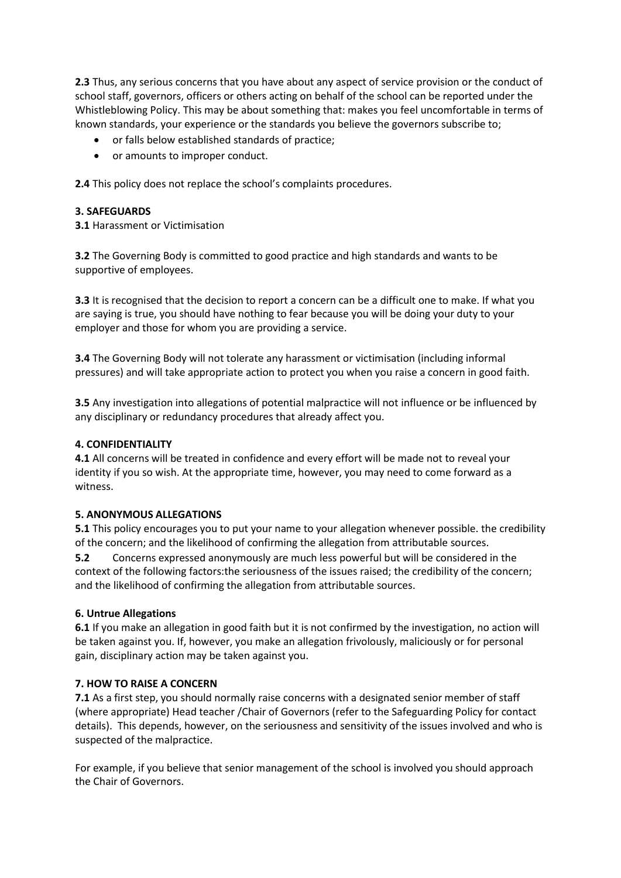**2.3** Thus, any serious concerns that you have about any aspect of service provision or the conduct of school staff, governors, officers or others acting on behalf of the school can be reported under the Whistleblowing Policy. This may be about something that: makes you feel uncomfortable in terms of known standards, your experience or the standards you believe the governors subscribe to;

- or falls below established standards of practice;
- or amounts to improper conduct.

**2.4** This policy does not replace the school's complaints procedures.

### **3. SAFEGUARDS**

**3.1** Harassment or Victimisation

**3.2** The Governing Body is committed to good practice and high standards and wants to be supportive of employees.

**3.3** It is recognised that the decision to report a concern can be a difficult one to make. If what you are saying is true, you should have nothing to fear because you will be doing your duty to your employer and those for whom you are providing a service.

**3.4** The Governing Body will not tolerate any harassment or victimisation (including informal pressures) and will take appropriate action to protect you when you raise a concern in good faith.

**3.5** Any investigation into allegations of potential malpractice will not influence or be influenced by any disciplinary or redundancy procedures that already affect you.

### **4. CONFIDENTIALITY**

**4.1** All concerns will be treated in confidence and every effort will be made not to reveal your identity if you so wish. At the appropriate time, however, you may need to come forward as a witness.

#### **5. ANONYMOUS ALLEGATIONS**

**5.1** This policy encourages you to put your name to your allegation whenever possible. the credibility of the concern; and the likelihood of confirming the allegation from attributable sources.

**5.2** Concerns expressed anonymously are much less powerful but will be considered in the context of the following factors:the seriousness of the issues raised; the credibility of the concern; and the likelihood of confirming the allegation from attributable sources.

#### **6. Untrue Allegations**

**6.1** If you make an allegation in good faith but it is not confirmed by the investigation, no action will be taken against you. If, however, you make an allegation frivolously, maliciously or for personal gain, disciplinary action may be taken against you.

#### **7. HOW TO RAISE A CONCERN**

**7.1** As a first step, you should normally raise concerns with a designated senior member of staff (where appropriate) Head teacher /Chair of Governors (refer to the Safeguarding Policy for contact details). This depends, however, on the seriousness and sensitivity of the issues involved and who is suspected of the malpractice.

For example, if you believe that senior management of the school is involved you should approach the Chair of Governors.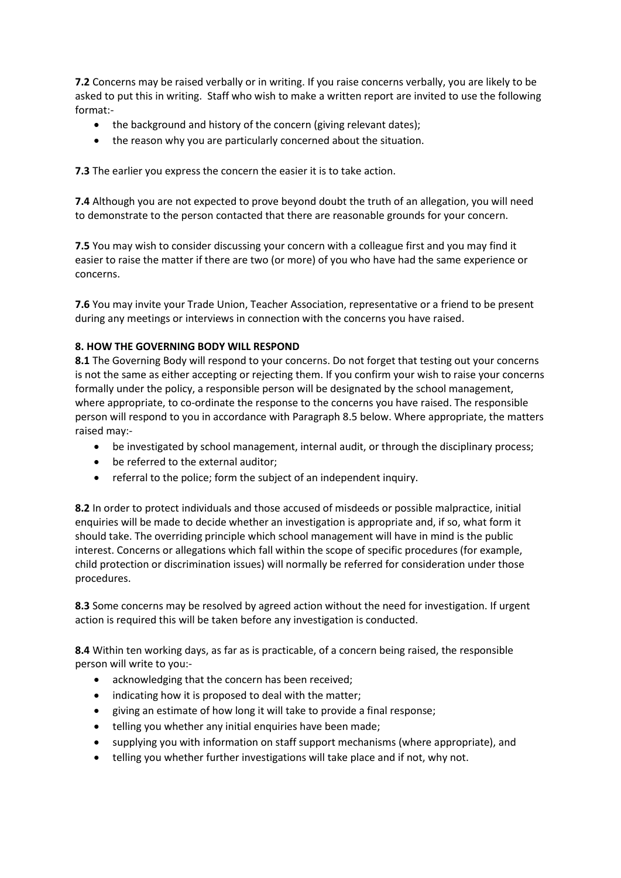**7.2** Concerns may be raised verbally or in writing. If you raise concerns verbally, you are likely to be asked to put this in writing. Staff who wish to make a written report are invited to use the following format:-

- the background and history of the concern (giving relevant dates);
- the reason why you are particularly concerned about the situation.

**7.3** The earlier you express the concern the easier it is to take action.

**7.4** Although you are not expected to prove beyond doubt the truth of an allegation, you will need to demonstrate to the person contacted that there are reasonable grounds for your concern.

**7.5** You may wish to consider discussing your concern with a colleague first and you may find it easier to raise the matter if there are two (or more) of you who have had the same experience or concerns.

**7.6** You may invite your Trade Union, Teacher Association, representative or a friend to be present during any meetings or interviews in connection with the concerns you have raised.

## **8. HOW THE GOVERNING BODY WILL RESPOND**

**8.1** The Governing Body will respond to your concerns. Do not forget that testing out your concerns is not the same as either accepting or rejecting them. If you confirm your wish to raise your concerns formally under the policy, a responsible person will be designated by the school management, where appropriate, to co-ordinate the response to the concerns you have raised. The responsible person will respond to you in accordance with Paragraph 8.5 below. Where appropriate, the matters raised may:-

- be investigated by school management, internal audit, or through the disciplinary process;
- be referred to the external auditor;
- referral to the police; form the subject of an independent inquiry.

**8.2** In order to protect individuals and those accused of misdeeds or possible malpractice, initial enquiries will be made to decide whether an investigation is appropriate and, if so, what form it should take. The overriding principle which school management will have in mind is the public interest. Concerns or allegations which fall within the scope of specific procedures (for example, child protection or discrimination issues) will normally be referred for consideration under those procedures.

**8.3** Some concerns may be resolved by agreed action without the need for investigation. If urgent action is required this will be taken before any investigation is conducted.

**8.4** Within ten working days, as far as is practicable, of a concern being raised, the responsible person will write to you:-

- acknowledging that the concern has been received;
- indicating how it is proposed to deal with the matter;
- giving an estimate of how long it will take to provide a final response;
- telling you whether any initial enquiries have been made;
- supplying you with information on staff support mechanisms (where appropriate), and
- telling you whether further investigations will take place and if not, why not.